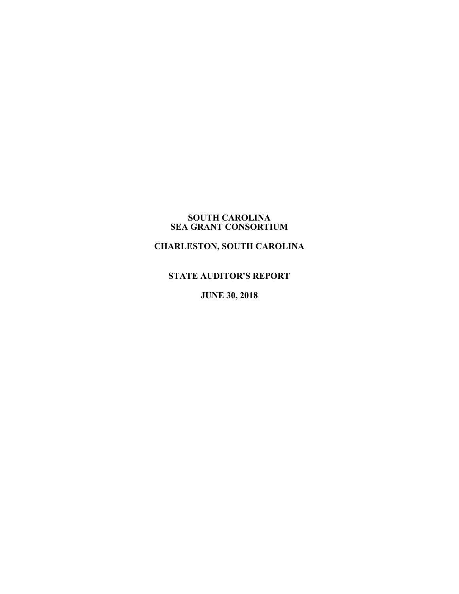#### **SOUTH CAROLINA SEA GRANT CONSORTIUM**

# **CHARLESTON, SOUTH CAROLINA**

### **STATE AUDITOR'S REPORT**

**JUNE 30, 2018**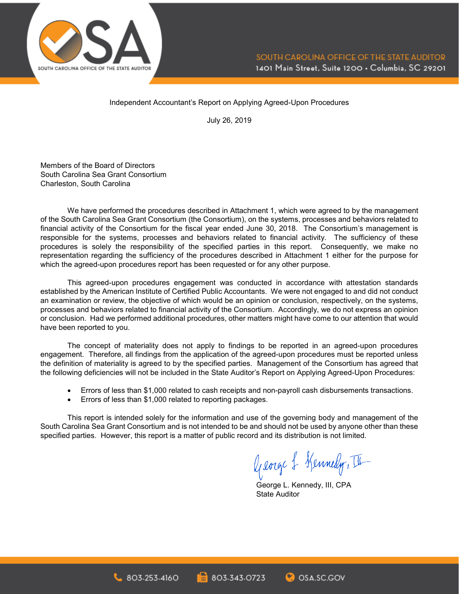

#### Independent Accountant's Report on Applying Agreed-Upon Procedures

July 26, 2019

Members of the Board of Directors South Carolina Sea Grant Consortium Charleston, South Carolina

We have performed the procedures described in Attachment 1, which were agreed to by the management of the South Carolina Sea Grant Consortium (the Consortium), on the systems, processes and behaviors related to financial activity of the Consortium for the fiscal year ended June 30, 2018. The Consortium's management is responsible for the systems, processes and behaviors related to financial activity. The sufficiency of these procedures is solely the responsibility of the specified parties in this report. Consequently, we make no representation regarding the sufficiency of the procedures described in Attachment 1 either for the purpose for which the agreed-upon procedures report has been requested or for any other purpose.

This agreed-upon procedures engagement was conducted in accordance with attestation standards established by the American Institute of Certified Public Accountants. We were not engaged to and did not conduct an examination or review, the objective of which would be an opinion or conclusion, respectively, on the systems, processes and behaviors related to financial activity of the Consortium. Accordingly, we do not express an opinion or conclusion. Had we performed additional procedures, other matters might have come to our attention that would have been reported to you.

The concept of materiality does not apply to findings to be reported in an agreed-upon procedures engagement. Therefore, all findings from the application of the agreed-upon procedures must be reported unless the definition of materiality is agreed to by the specified parties. Management of the Consortium has agreed that the following deficiencies will not be included in the State Auditor's Report on Applying Agreed-Upon Procedures:

- Errors of less than \$1,000 related to cash receipts and non-payroll cash disbursements transactions.
- Errors of less than \$1,000 related to reporting packages.

This report is intended solely for the information and use of the governing body and management of the South Carolina Sea Grant Consortium and is not intended to be and should not be used by anyone other than these specified parties. However, this report is a matter of public record and its distribution is not limited.

George & Kennedy, II

George L. Kennedy, III, CPA State Auditor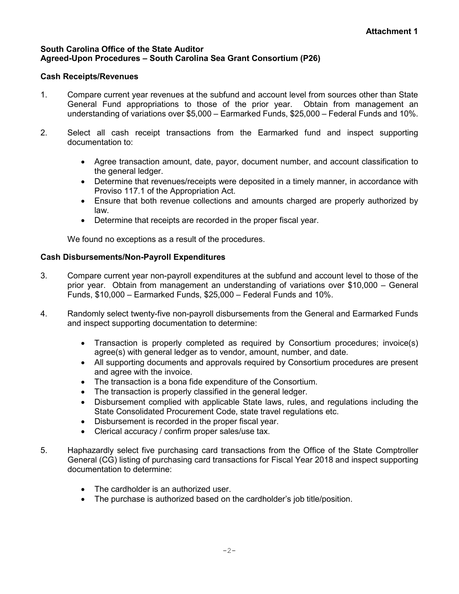## **South Carolina Office of the State Auditor Agreed-Upon Procedures – South Carolina Sea Grant Consortium (P26)**

# **Cash Receipts/Revenues**

- 1. Compare current year revenues at the subfund and account level from sources other than State General Fund appropriations to those of the prior year. Obtain from management an understanding of variations over \$5,000 – Earmarked Funds, \$25,000 – Federal Funds and 10%.
- 2. Select all cash receipt transactions from the Earmarked fund and inspect supporting documentation to:
	- Agree transaction amount, date, payor, document number, and account classification to the general ledger.
	- Determine that revenues/receipts were deposited in a timely manner, in accordance with Proviso 117.1 of the Appropriation Act.
	- Ensure that both revenue collections and amounts charged are properly authorized by law.
	- Determine that receipts are recorded in the proper fiscal year.

We found no exceptions as a result of the procedures.

# **Cash Disbursements/Non-Payroll Expenditures**

- 3. Compare current year non-payroll expenditures at the subfund and account level to those of the prior year. Obtain from management an understanding of variations over \$10,000 – General Funds, \$10,000 – Earmarked Funds, \$25,000 – Federal Funds and 10%.
- 4. Randomly select twenty-five non-payroll disbursements from the General and Earmarked Funds and inspect supporting documentation to determine:
	- Transaction is properly completed as required by Consortium procedures; invoice(s) agree(s) with general ledger as to vendor, amount, number, and date.
	- All supporting documents and approvals required by Consortium procedures are present and agree with the invoice.
	- The transaction is a bona fide expenditure of the Consortium.
	- The transaction is properly classified in the general ledger.
	- Disbursement complied with applicable State laws, rules, and regulations including the State Consolidated Procurement Code, state travel regulations etc.
	- Disbursement is recorded in the proper fiscal year.
	- Clerical accuracy / confirm proper sales/use tax.
- 5. Haphazardly select five purchasing card transactions from the Office of the State Comptroller General (CG) listing of purchasing card transactions for Fiscal Year 2018 and inspect supporting documentation to determine:
	- The cardholder is an authorized user.
	- The purchase is authorized based on the cardholder's job title/position.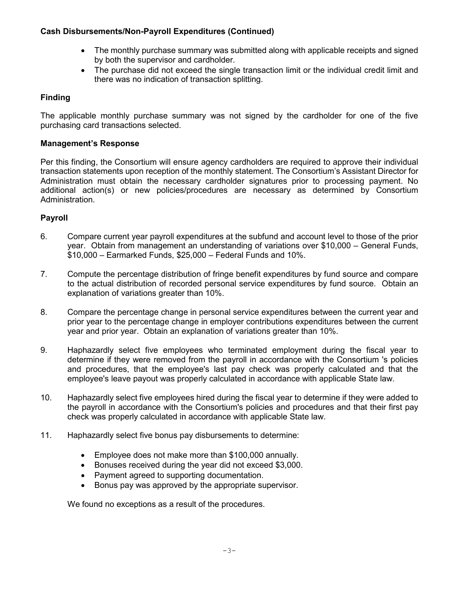# **Cash Disbursements/Non-Payroll Expenditures (Continued)**

- The monthly purchase summary was submitted along with applicable receipts and signed by both the supervisor and cardholder.
- The purchase did not exceed the single transaction limit or the individual credit limit and there was no indication of transaction splitting.

# **Finding**

The applicable monthly purchase summary was not signed by the cardholder for one of the five purchasing card transactions selected.

# **Management's Response**

Per this finding, the Consortium will ensure agency cardholders are required to approve their individual transaction statements upon reception of the monthly statement. The Consortium's Assistant Director for Administration must obtain the necessary cardholder signatures prior to processing payment. No additional action(s) or new policies/procedures are necessary as determined by Consortium Administration.

# **Payroll**

- 6. Compare current year payroll expenditures at the subfund and account level to those of the prior year. Obtain from management an understanding of variations over \$10,000 – General Funds, \$10,000 – Earmarked Funds, \$25,000 – Federal Funds and 10%.
- 7. Compute the percentage distribution of fringe benefit expenditures by fund source and compare to the actual distribution of recorded personal service expenditures by fund source. Obtain an explanation of variations greater than 10%.
- 8. Compare the percentage change in personal service expenditures between the current year and prior year to the percentage change in employer contributions expenditures between the current year and prior year. Obtain an explanation of variations greater than 10%.
- 9. Haphazardly select five employees who terminated employment during the fiscal year to determine if they were removed from the payroll in accordance with the Consortium 's policies and procedures, that the employee's last pay check was properly calculated and that the employee's leave payout was properly calculated in accordance with applicable State law.
- 10. Haphazardly select five employees hired during the fiscal year to determine if they were added to the payroll in accordance with the Consortium's policies and procedures and that their first pay check was properly calculated in accordance with applicable State law.
- 11. Haphazardly select five bonus pay disbursements to determine:
	- Employee does not make more than \$100,000 annually.
	- Bonuses received during the year did not exceed \$3,000.
	- Payment agreed to supporting documentation.
	- Bonus pay was approved by the appropriate supervisor.

We found no exceptions as a result of the procedures.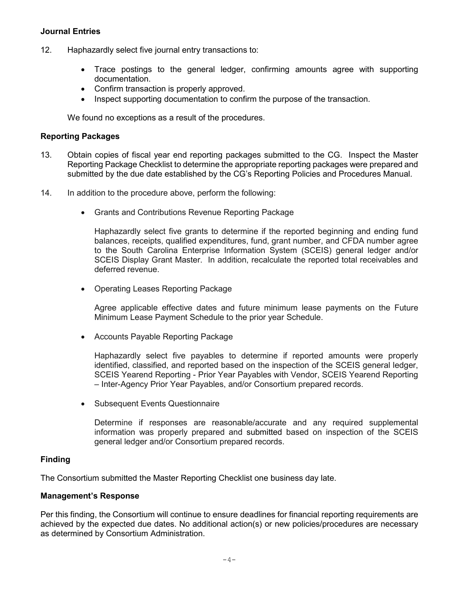# **Journal Entries**

- 12. Haphazardly select five journal entry transactions to:
	- Trace postings to the general ledger, confirming amounts agree with supporting documentation.
	- Confirm transaction is properly approved.
	- Inspect supporting documentation to confirm the purpose of the transaction.

We found no exceptions as a result of the procedures.

# **Reporting Packages**

- 13. Obtain copies of fiscal year end reporting packages submitted to the CG. Inspect the Master Reporting Package Checklist to determine the appropriate reporting packages were prepared and submitted by the due date established by the CG's Reporting Policies and Procedures Manual.
- 14. In addition to the procedure above, perform the following:
	- Grants and Contributions Revenue Reporting Package

Haphazardly select five grants to determine if the reported beginning and ending fund balances, receipts, qualified expenditures, fund, grant number, and CFDA number agree to the South Carolina Enterprise Information System (SCEIS) general ledger and/or SCEIS Display Grant Master. In addition, recalculate the reported total receivables and deferred revenue.

• Operating Leases Reporting Package

Agree applicable effective dates and future minimum lease payments on the Future Minimum Lease Payment Schedule to the prior year Schedule.

• Accounts Payable Reporting Package

Haphazardly select five payables to determine if reported amounts were properly identified, classified, and reported based on the inspection of the SCEIS general ledger, SCEIS Yearend Reporting - Prior Year Payables with Vendor, SCEIS Yearend Reporting – Inter-Agency Prior Year Payables, and/or Consortium prepared records.

• Subsequent Events Questionnaire

Determine if responses are reasonable/accurate and any required supplemental information was properly prepared and submitted based on inspection of the SCEIS general ledger and/or Consortium prepared records.

### **Finding**

The Consortium submitted the Master Reporting Checklist one business day late.

### **Management's Response**

Per this finding, the Consortium will continue to ensure deadlines for financial reporting requirements are achieved by the expected due dates. No additional action(s) or new policies/procedures are necessary as determined by Consortium Administration.